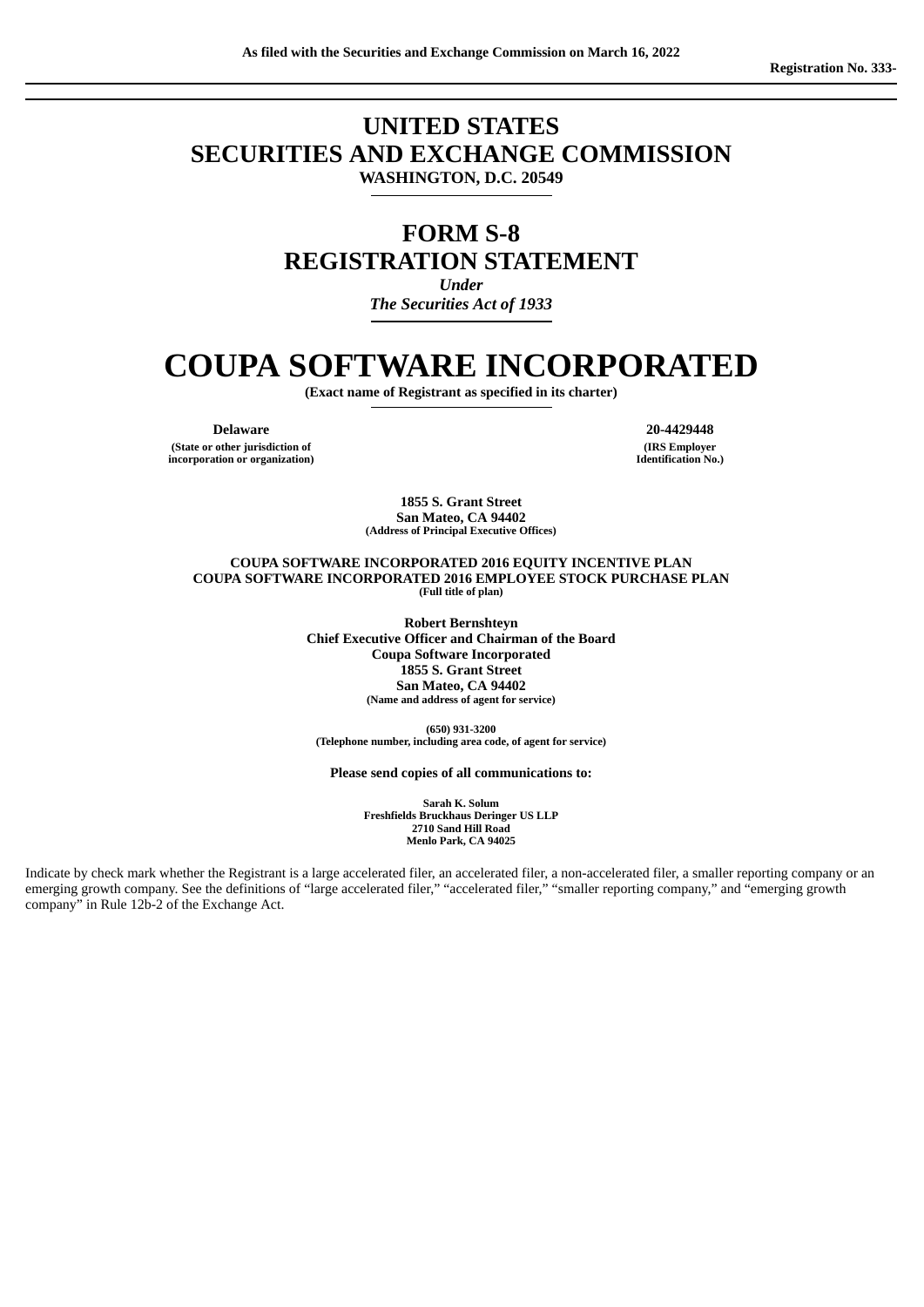## **UNITED STATES SECURITIES AND EXCHANGE COMMISSION WASHINGTON, D.C. 20549**

# **FORM S-8 REGISTRATION STATEMENT**

*Under The Securities Act of 1933*

# **COUPA SOFTWARE INCORPORATED**

**(Exact name of Registrant as specified in its charter)**

**Delaware 20-4429448 (State or other jurisdiction of incorporation or organization)**

**(IRS Employer Identification No.)**

**1855 S. Grant Street San Mateo, CA 94402 (Address of Principal Executive Offices)**

#### **COUPA SOFTWARE INCORPORATED 2016 EQUITY INCENTIVE PLAN COUPA SOFTWARE INCORPORATED 2016 EMPLOYEE STOCK PURCHASE PLAN (Full title of plan)**

**Robert Bernshteyn Chief Executive Officer and Chairman of the Board Coupa Software Incorporated 1855 S. Grant Street San Mateo, CA 94402 (Name and address of agent for service)**

**(650) 931-3200 (Telephone number, including area code, of agent for service)**

**Please send copies of all communications to:**

**Sarah K. Solum Freshfields Bruckhaus Deringer US LLP 2710 Sand Hill Road Menlo Park, CA 94025**

Indicate by check mark whether the Registrant is a large accelerated filer, an accelerated filer, a non-accelerated filer, a smaller reporting company or an emerging growth company. See the definitions of "large accelerated filer," "accelerated filer," "smaller reporting company," and "emerging growth company" in Rule 12b-2 of the Exchange Act.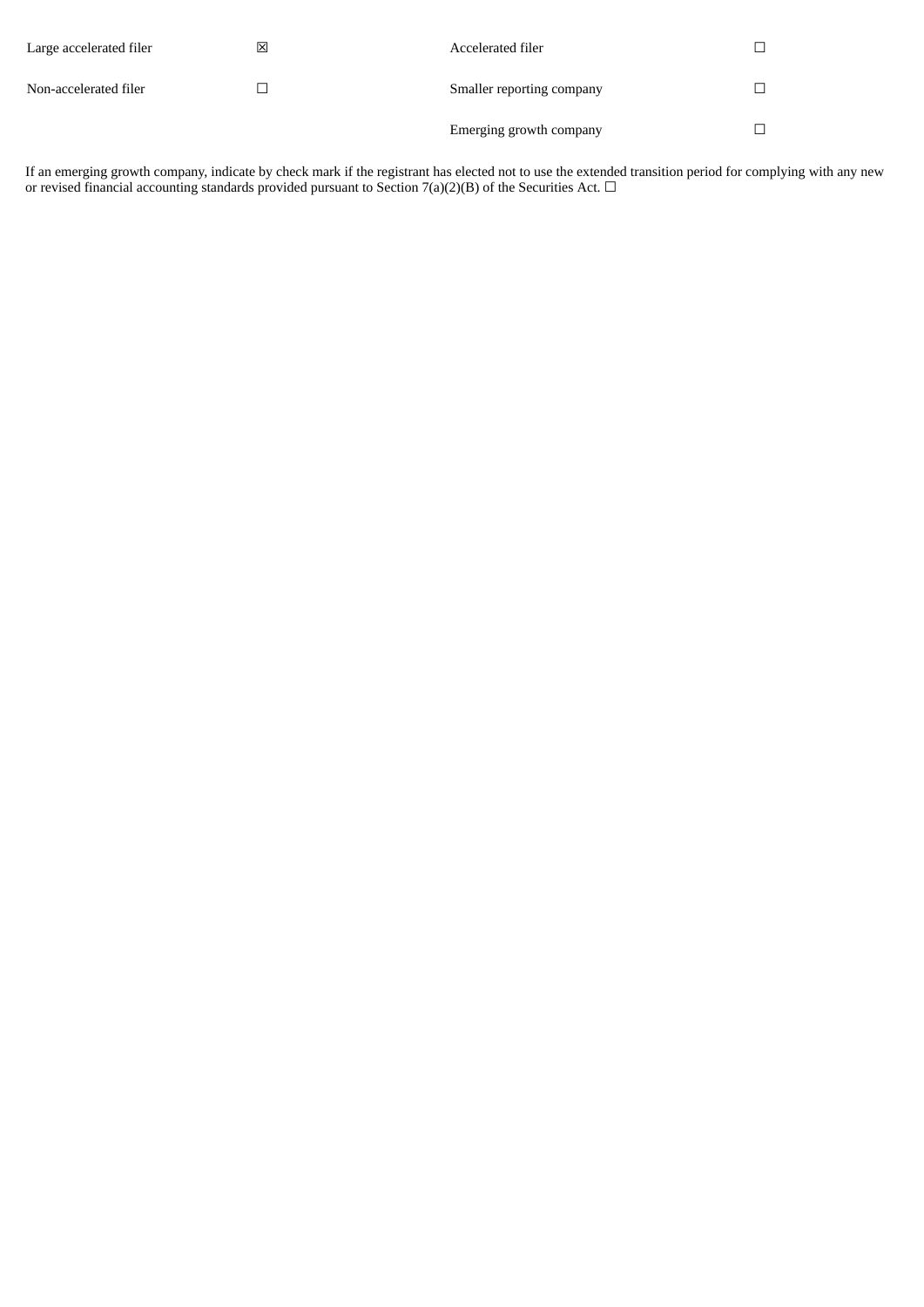| Large accelerated filer | ⊠ | Accelerated filer         |  |
|-------------------------|---|---------------------------|--|
| Non-accelerated filer   |   | Smaller reporting company |  |
|                         |   | Emerging growth company   |  |

If an emerging growth company, indicate by check mark if the registrant has elected not to use the extended transition period for complying with any new or revised financial accounting standards provided pursuant to Section 7(a)(2)(B) of the Securities Act.  $\Box$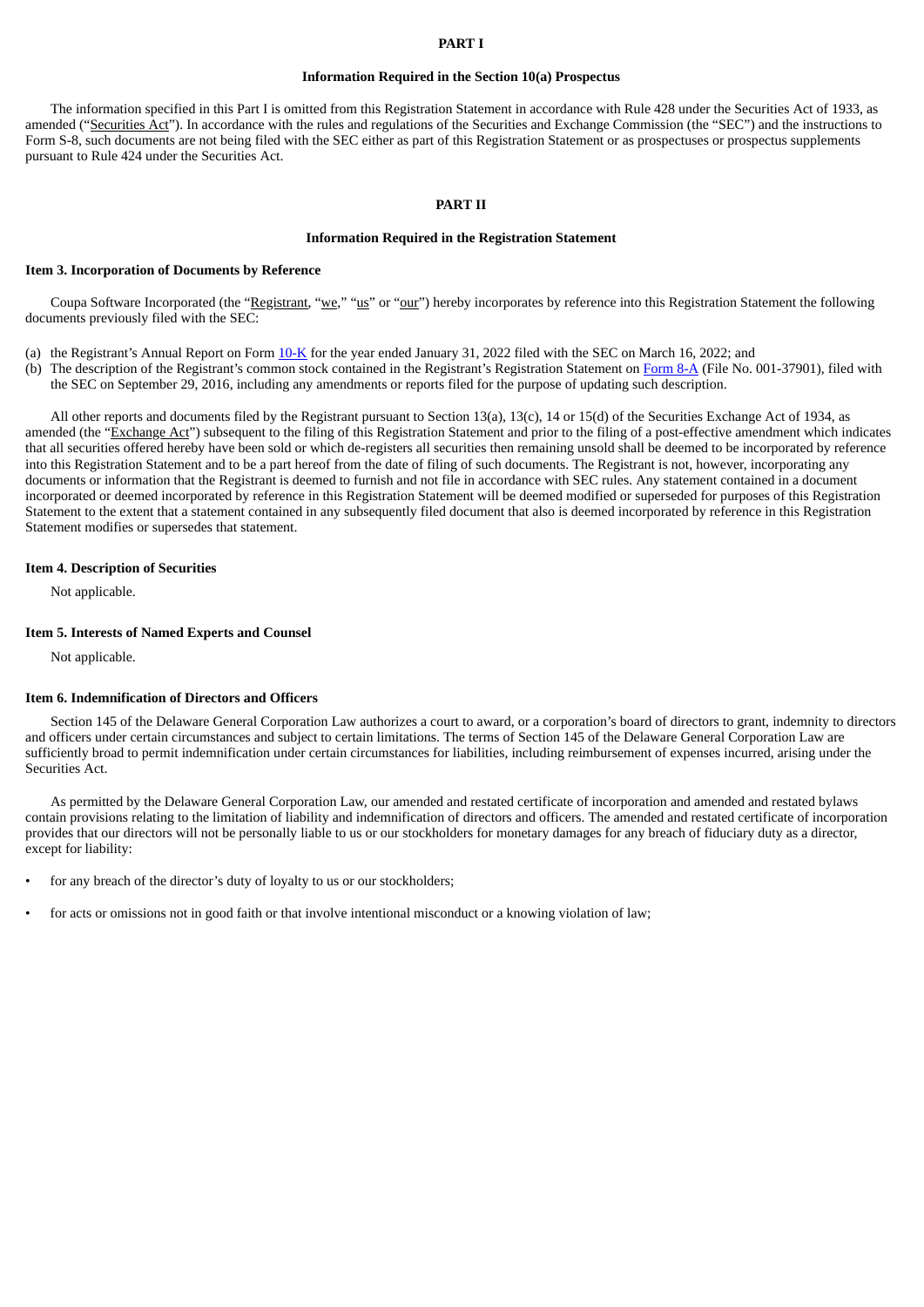#### **PART I**

#### **Information Required in the Section 10(a) Prospectus**

The information specified in this Part I is omitted from this Registration Statement in accordance with Rule 428 under the Securities Act of 1933, as amended ("Securities Act"). In accordance with the rules and regulations of the Securities and Exchange Commission (the "SEC") and the instructions to Form S-8, such documents are not being filed with the SEC either as part of this Registration Statement or as prospectuses or prospectus supplements pursuant to Rule 424 under the Securities Act.

#### **PART II**

#### **Information Required in the Registration Statement**

#### **Item 3. Incorporation of Documents by Reference**

Coupa Software Incorporated (the "Registrant, "we," "us" or "our") hereby incorporates by reference into this Registration Statement the following documents previously filed with the SEC:

- (a) the Registrant's Annual Report on Form [10-K](https://www.sec.gov/ix?doc=/Archives/edgar/data/0001385867/000138586722000010/coup-20220131.htm) for the year ended January 31, 2022 filed with the SEC on March 16, 2022; and
- (b) The description of the Registrant's common stock contained in the Registrant's Registration Statement on [Form](http://www.sec.gov/Archives/edgar/data/1385867/000119312516725854/d267636d8a12b.htm) 8-A (File No. 001-37901), filed with the SEC on September 29, 2016, including any amendments or reports filed for the purpose of updating such description.

All other reports and documents filed by the Registrant pursuant to Section 13(a), 13(c), 14 or 15(d) of the Securities Exchange Act of 1934, as amended (the "Exchange Act") subsequent to the filing of this Registration Statement and prior to the filing of a post-effective amendment which indicates that all securities offered hereby have been sold or which de-registers all securities then remaining unsold shall be deemed to be incorporated by reference into this Registration Statement and to be a part hereof from the date of filing of such documents. The Registrant is not, however, incorporating any documents or information that the Registrant is deemed to furnish and not file in accordance with SEC rules. Any statement contained in a document incorporated or deemed incorporated by reference in this Registration Statement will be deemed modified or superseded for purposes of this Registration Statement to the extent that a statement contained in any subsequently filed document that also is deemed incorporated by reference in this Registration Statement modifies or supersedes that statement.

#### **Item 4. Description of Securities**

Not applicable.

#### **Item 5. Interests of Named Experts and Counsel**

Not applicable.

#### **Item 6. Indemnification of Directors and Officers**

Section 145 of the Delaware General Corporation Law authorizes a court to award, or a corporation's board of directors to grant, indemnity to directors and officers under certain circumstances and subject to certain limitations. The terms of Section 145 of the Delaware General Corporation Law are sufficiently broad to permit indemnification under certain circumstances for liabilities, including reimbursement of expenses incurred, arising under the Securities Act.

As permitted by the Delaware General Corporation Law, our amended and restated certificate of incorporation and amended and restated bylaws contain provisions relating to the limitation of liability and indemnification of directors and officers. The amended and restated certificate of incorporation provides that our directors will not be personally liable to us or our stockholders for monetary damages for any breach of fiduciary duty as a director, except for liability:

- for any breach of the director's duty of loyalty to us or our stockholders;
- for acts or omissions not in good faith or that involve intentional misconduct or a knowing violation of law;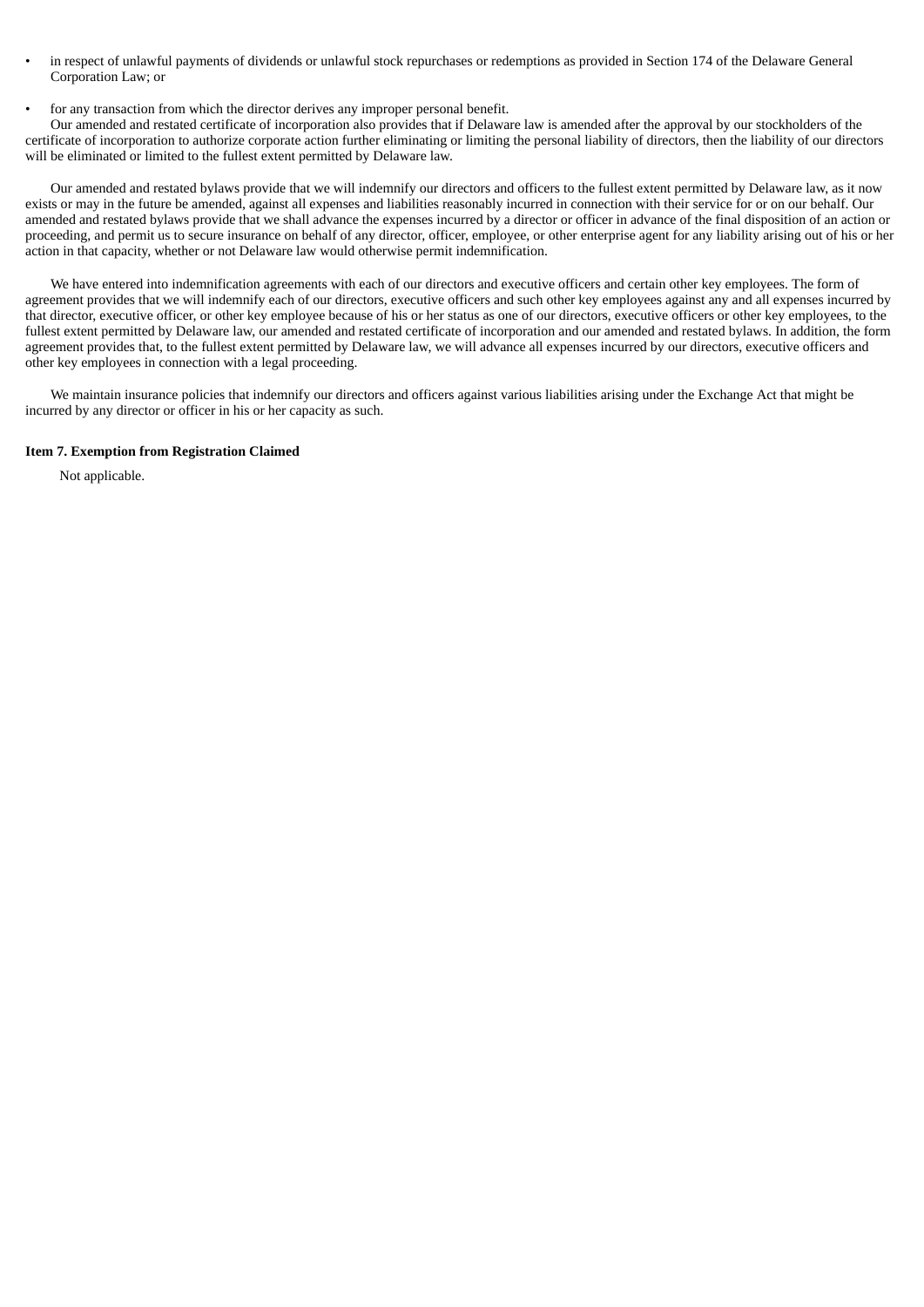- in respect of unlawful payments of dividends or unlawful stock repurchases or redemptions as provided in Section 174 of the Delaware General Corporation Law; or
- for any transaction from which the director derives any improper personal benefit.

Our amended and restated certificate of incorporation also provides that if Delaware law is amended after the approval by our stockholders of the certificate of incorporation to authorize corporate action further eliminating or limiting the personal liability of directors, then the liability of our directors will be eliminated or limited to the fullest extent permitted by Delaware law.

Our amended and restated bylaws provide that we will indemnify our directors and officers to the fullest extent permitted by Delaware law, as it now exists or may in the future be amended, against all expenses and liabilities reasonably incurred in connection with their service for or on our behalf. Our amended and restated bylaws provide that we shall advance the expenses incurred by a director or officer in advance of the final disposition of an action or proceeding, and permit us to secure insurance on behalf of any director, officer, employee, or other enterprise agent for any liability arising out of his or her action in that capacity, whether or not Delaware law would otherwise permit indemnification.

We have entered into indemnification agreements with each of our directors and executive officers and certain other key employees. The form of agreement provides that we will indemnify each of our directors, executive officers and such other key employees against any and all expenses incurred by that director, executive officer, or other key employee because of his or her status as one of our directors, executive officers or other key employees, to the fullest extent permitted by Delaware law, our amended and restated certificate of incorporation and our amended and restated bylaws. In addition, the form agreement provides that, to the fullest extent permitted by Delaware law, we will advance all expenses incurred by our directors, executive officers and other key employees in connection with a legal proceeding.

We maintain insurance policies that indemnify our directors and officers against various liabilities arising under the Exchange Act that might be incurred by any director or officer in his or her capacity as such.

#### **Item 7. Exemption from Registration Claimed**

Not applicable.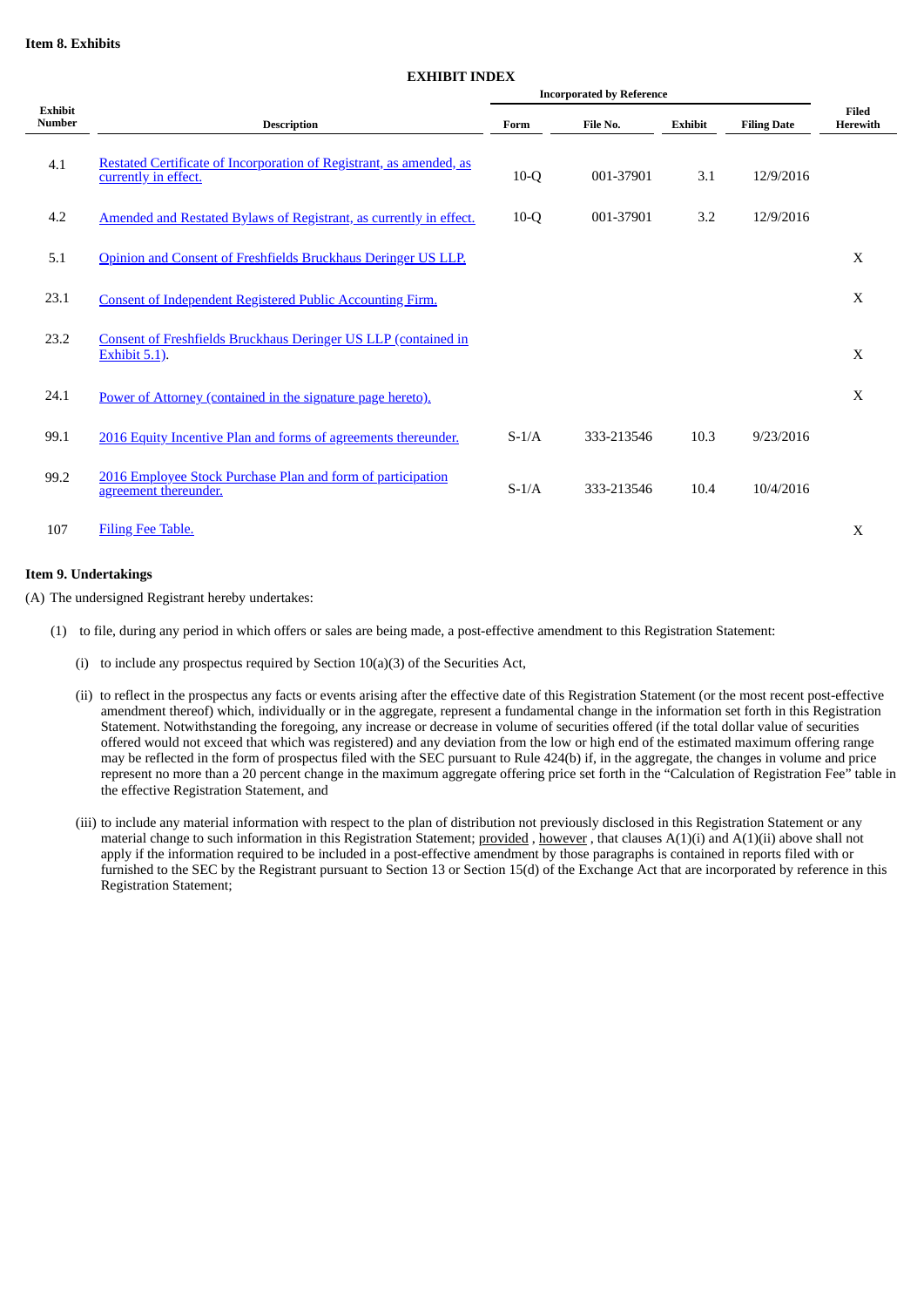#### **Item 8. Exhibits**

|                                 | <b>LAHIDII INDLA</b><br><b>Incorporated by Reference</b>                                    |         |            |                |                    |                          |
|---------------------------------|---------------------------------------------------------------------------------------------|---------|------------|----------------|--------------------|--------------------------|
| <b>Exhibit</b><br><b>Number</b> | <b>Description</b>                                                                          | Form    | File No.   | <b>Exhibit</b> | <b>Filing Date</b> | <b>Filed</b><br>Herewith |
| 4.1                             | Restated Certificate of Incorporation of Registrant, as amended, as<br>currently in effect. | $10-Q$  | 001-37901  | 3.1            | 12/9/2016          |                          |
| 4.2                             | Amended and Restated Bylaws of Registrant, as currently in effect.                          | $10-Q$  | 001-37901  | 3.2            | 12/9/2016          |                          |
| 5.1                             | Opinion and Consent of Freshfields Bruckhaus Deringer US LLP.                               |         |            |                |                    | X                        |
| 23.1                            | <b>Consent of Independent Registered Public Accounting Firm.</b>                            |         |            |                |                    | X                        |
| 23.2                            | Consent of Freshfields Bruckhaus Deringer US LLP (contained in<br>Exhibit $5.1$ ).          |         |            |                |                    | X                        |
| 24.1                            | Power of Attorney (contained in the signature page hereto).                                 |         |            |                |                    | X                        |
| 99.1                            | 2016 Equity Incentive Plan and forms of agreements thereunder.                              | $S-1/A$ | 333-213546 | 10.3           | 9/23/2016          |                          |
| 99.2                            | 2016 Employee Stock Purchase Plan and form of participation<br>agreement thereunder.        | $S-1/A$ | 333-213546 | 10.4           | 10/4/2016          |                          |
| 107                             | Filing Fee Table.                                                                           |         |            |                |                    | X                        |

#### **Item 9. Undertakings**

(A) The undersigned Registrant hereby undertakes:

- (1) to file, during any period in which offers or sales are being made, a post-effective amendment to this Registration Statement:
	- (i) to include any prospectus required by Section 10(a)(3) of the Securities Act,
	- (ii) to reflect in the prospectus any facts or events arising after the effective date of this Registration Statement (or the most recent post-effective amendment thereof) which, individually or in the aggregate, represent a fundamental change in the information set forth in this Registration Statement. Notwithstanding the foregoing, any increase or decrease in volume of securities offered (if the total dollar value of securities offered would not exceed that which was registered) and any deviation from the low or high end of the estimated maximum offering range may be reflected in the form of prospectus filed with the SEC pursuant to Rule 424(b) if, in the aggregate, the changes in volume and price represent no more than a 20 percent change in the maximum aggregate offering price set forth in the "Calculation of Registration Fee" table in the effective Registration Statement, and
	- (iii) to include any material information with respect to the plan of distribution not previously disclosed in this Registration Statement or any material change to such information in this Registration Statement; provided , however , that clauses  $A(1)(i)$  and  $A(1)(ii)$  above shall not apply if the information required to be included in a post-effective amendment by those paragraphs is contained in reports filed with or furnished to the SEC by the Registrant pursuant to Section 13 or Section 15(d) of the Exchange Act that are incorporated by reference in this Registration Statement;

#### **EXHIBIT INDEX**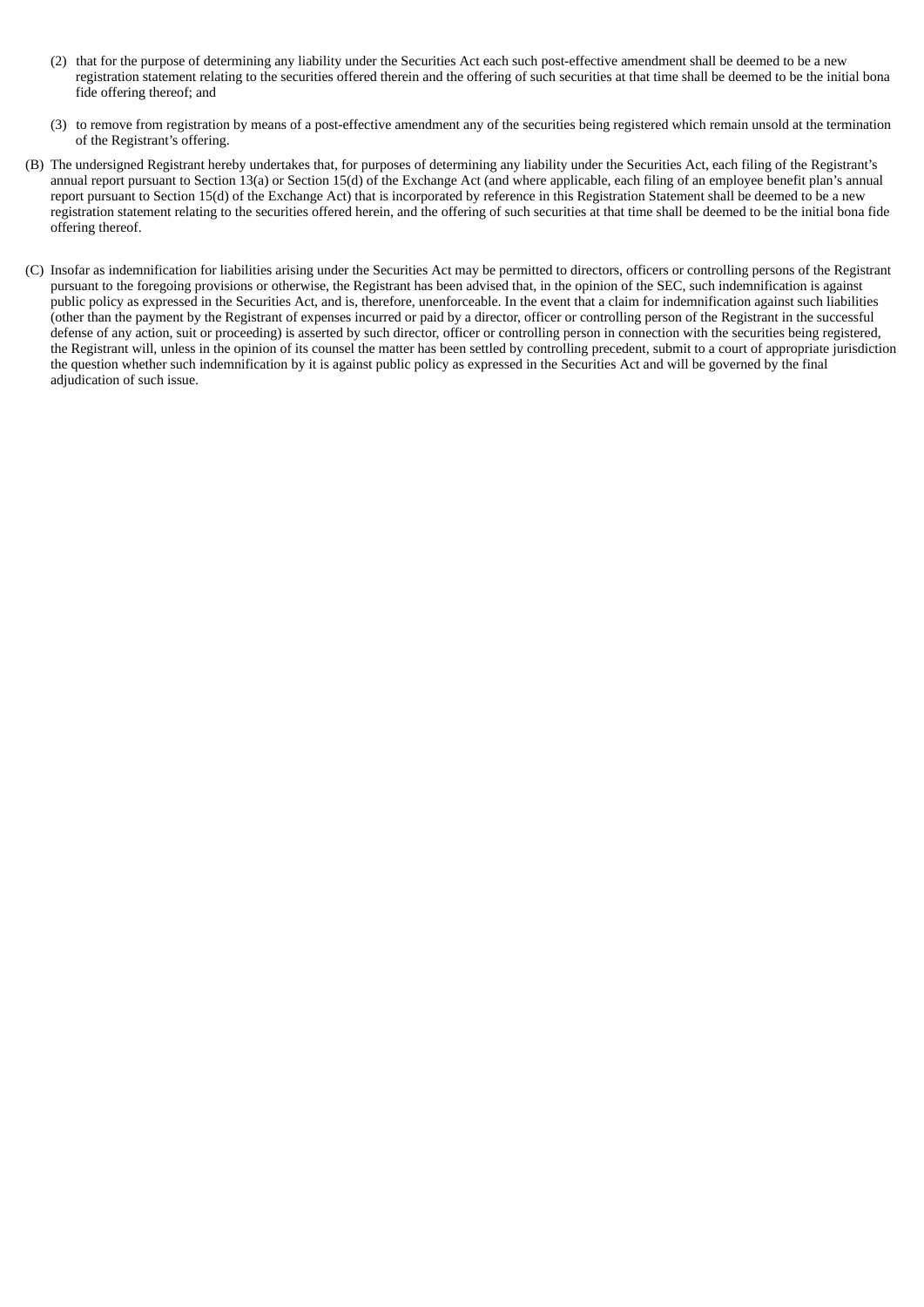- (2) that for the purpose of determining any liability under the Securities Act each such post-effective amendment shall be deemed to be a new registration statement relating to the securities offered therein and the offering of such securities at that time shall be deemed to be the initial bona fide offering thereof; and
- (3) to remove from registration by means of a post-effective amendment any of the securities being registered which remain unsold at the termination of the Registrant's offering.
- (B) The undersigned Registrant hereby undertakes that, for purposes of determining any liability under the Securities Act, each filing of the Registrant's annual report pursuant to Section 13(a) or Section 15(d) of the Exchange Act (and where applicable, each filing of an employee benefit plan's annual report pursuant to Section 15(d) of the Exchange Act) that is incorporated by reference in this Registration Statement shall be deemed to be a new registration statement relating to the securities offered herein, and the offering of such securities at that time shall be deemed to be the initial bona fide offering thereof.
- (C) Insofar as indemnification for liabilities arising under the Securities Act may be permitted to directors, officers or controlling persons of the Registrant pursuant to the foregoing provisions or otherwise, the Registrant has been advised that, in the opinion of the SEC, such indemnification is against public policy as expressed in the Securities Act, and is, therefore, unenforceable. In the event that a claim for indemnification against such liabilities (other than the payment by the Registrant of expenses incurred or paid by a director, officer or controlling person of the Registrant in the successful defense of any action, suit or proceeding) is asserted by such director, officer or controlling person in connection with the securities being registered, the Registrant will, unless in the opinion of its counsel the matter has been settled by controlling precedent, submit to a court of appropriate jurisdiction the question whether such indemnification by it is against public policy as expressed in the Securities Act and will be governed by the final adjudication of such issue.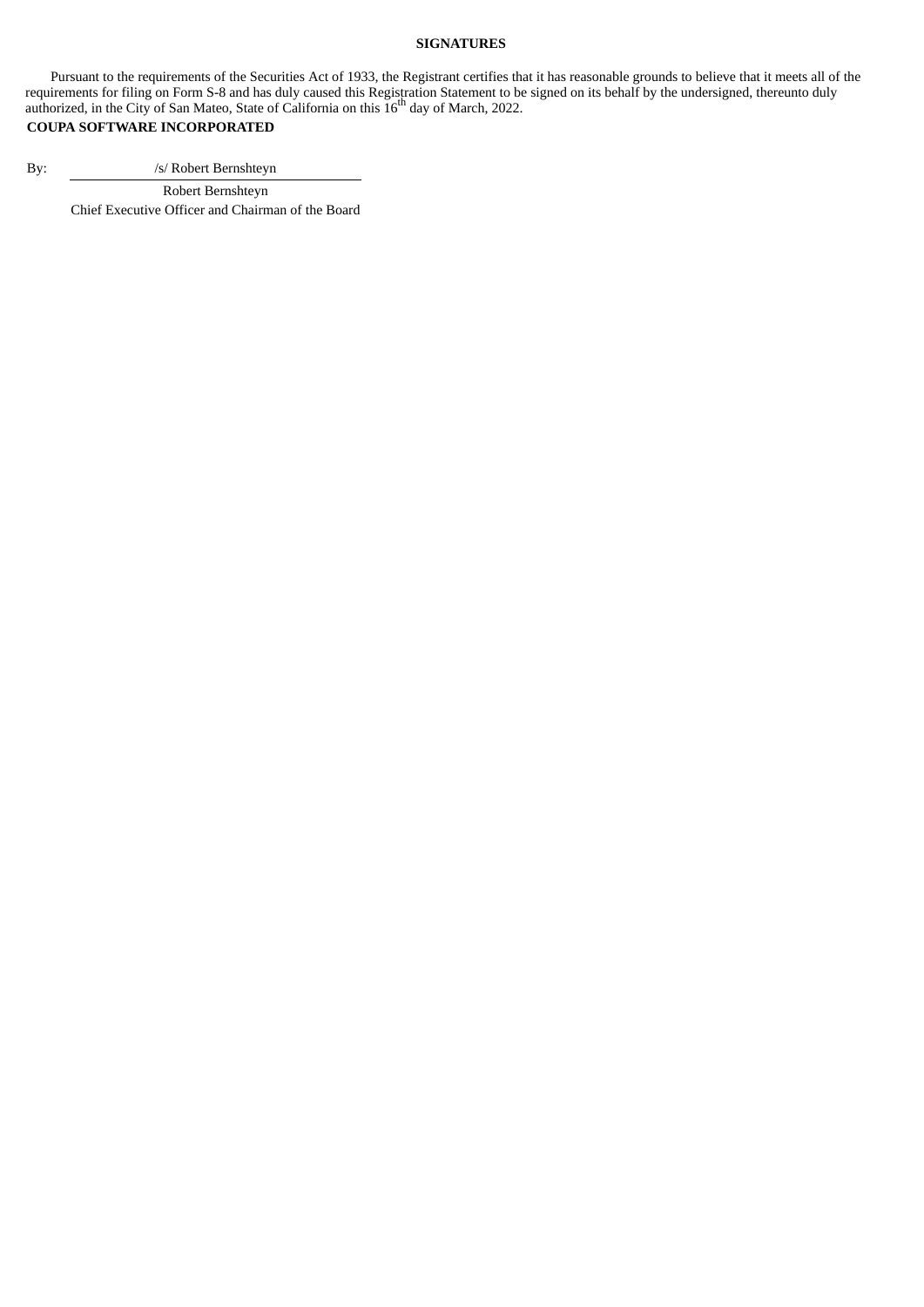#### **SIGNATURES**

Pursuant to the requirements of the Securities Act of 1933, the Registrant certifies that it has reasonable grounds to believe that it meets all of the requirements for filing on Form S-8 and has duly caused this Registration Statement to be signed on its behalf by the undersigned, thereunto duly authorized, in the City of San Mateo, State of California on this  $16<sup>th</sup>$  day of March, 2022.

### **COUPA SOFTWARE INCORPORATED**

By: /s/ Robert Bernshteyn

<span id="page-6-0"></span>Robert Bernshteyn Chief Executive Officer and Chairman of the Board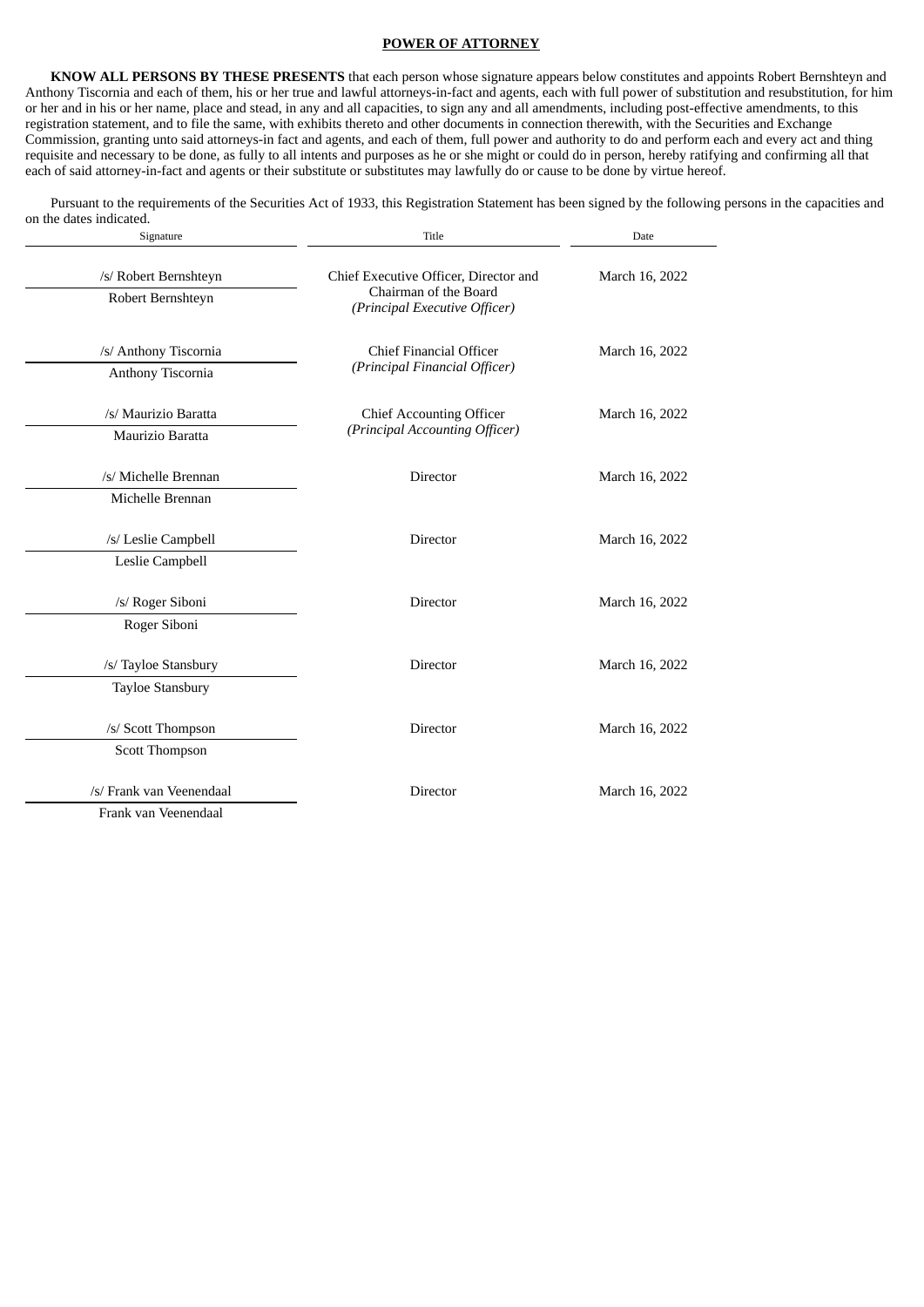#### **POWER OF ATTORNEY**

**KNOW ALL PERSONS BY THESE PRESENTS** that each person whose signature appears below constitutes and appoints Robert Bernshteyn and Anthony Tiscornia and each of them, his or her true and lawful attorneys-in-fact and agents, each with full power of substitution and resubstitution, for him or her and in his or her name, place and stead, in any and all capacities, to sign any and all amendments, including post-effective amendments, to this registration statement, and to file the same, with exhibits thereto and other documents in connection therewith, with the Securities and Exchange Commission, granting unto said attorneys-in fact and agents, and each of them, full power and authority to do and perform each and every act and thing requisite and necessary to be done, as fully to all intents and purposes as he or she might or could do in person, hereby ratifying and confirming all that each of said attorney-in-fact and agents or their substitute or substitutes may lawfully do or cause to be done by virtue hereof.

Pursuant to the requirements of the Securities Act of 1933, this Registration Statement has been signed by the following persons in the capacities and on the dates indicated.

| Signature                                        | Title                                                                                           | Date           |  |  |
|--------------------------------------------------|-------------------------------------------------------------------------------------------------|----------------|--|--|
| /s/ Robert Bernshteyn<br>Robert Bernshteyn       | Chief Executive Officer, Director and<br>Chairman of the Board<br>(Principal Executive Officer) | March 16, 2022 |  |  |
| /s/ Anthony Tiscornia<br>Anthony Tiscornia       | Chief Financial Officer<br>(Principal Financial Officer)                                        | March 16, 2022 |  |  |
| /s/ Maurizio Baratta<br>Maurizio Baratta         | <b>Chief Accounting Officer</b><br>(Principal Accounting Officer)                               | March 16, 2022 |  |  |
| /s/ Michelle Brennan<br>Michelle Brennan         | <b>Director</b>                                                                                 | March 16, 2022 |  |  |
| /s/ Leslie Campbell<br>Leslie Campbell           | Director                                                                                        | March 16, 2022 |  |  |
| /s/ Roger Siboni<br>Roger Siboni                 | <b>Director</b>                                                                                 | March 16, 2022 |  |  |
| /s/ Tayloe Stansbury<br><b>Tayloe Stansbury</b>  | Director                                                                                        | March 16, 2022 |  |  |
| /s/ Scott Thompson<br>Scott Thompson             | Director                                                                                        | March 16, 2022 |  |  |
| /s/ Frank van Veenendaal<br>Frank van Veenendaal | Director                                                                                        | March 16, 2022 |  |  |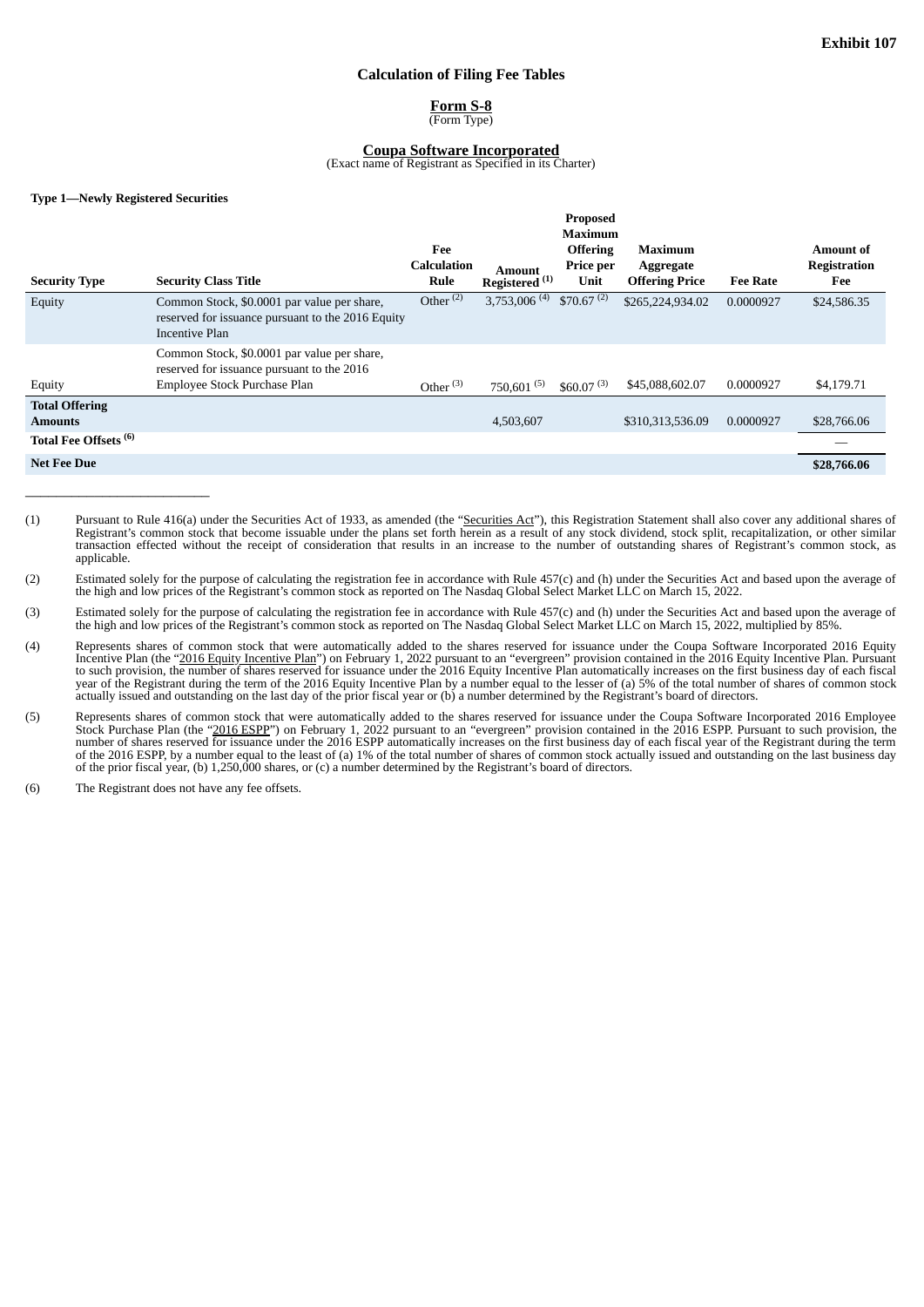#### **Calculation of Filing Fee Tables**

**Form S-8** (Form Type)

#### **Coupa Software Incorporated**

(Exact name of Registrant as Specified in its Charter)

#### <span id="page-8-0"></span>**Type 1—Newly Registered Securities**

 $\frac{1}{2}$  ,  $\frac{1}{2}$  ,  $\frac{1}{2}$  ,  $\frac{1}{2}$  ,  $\frac{1}{2}$  ,  $\frac{1}{2}$  ,  $\frac{1}{2}$  ,  $\frac{1}{2}$  ,  $\frac{1}{2}$  ,  $\frac{1}{2}$  ,  $\frac{1}{2}$  ,  $\frac{1}{2}$  ,  $\frac{1}{2}$  ,  $\frac{1}{2}$  ,  $\frac{1}{2}$  ,  $\frac{1}{2}$  ,  $\frac{1}{2}$  ,  $\frac{1}{2}$  ,  $\frac{1$ 

|                                         | Proposed                                                                                                                  |                                   |                                     |                                                        |                                               |                 |                                         |
|-----------------------------------------|---------------------------------------------------------------------------------------------------------------------------|-----------------------------------|-------------------------------------|--------------------------------------------------------|-----------------------------------------------|-----------------|-----------------------------------------|
| <b>Security Type</b>                    | <b>Security Class Title</b>                                                                                               | Fee<br><b>Calculation</b><br>Rule | Amount<br>Registered <sup>(1)</sup> | <b>Maximum</b><br><b>Offering</b><br>Price per<br>Unit | Maximum<br>Aggregate<br><b>Offering Price</b> | <b>Fee Rate</b> | Amount of<br><b>Registration</b><br>Fee |
| Equity                                  | Common Stock, \$0.0001 par value per share,<br>reserved for issuance pursuant to the 2016 Equity<br>Incentive Plan        | Other $(2)$                       | $3,753,006$ <sup>(4)</sup>          | $$70.67^{(2)}$                                         | \$265,224,934.02                              | 0.0000927       | \$24,586.35                             |
| Equity                                  | Common Stock, \$0.0001 par value per share,<br>reserved for issuance pursuant to the 2016<br>Employee Stock Purchase Plan | Other $(3)$                       | 750,601 $(5)$                       | \$60.07 <sup>(3)</sup>                                 | \$45,088,602.07                               | 0.0000927       | \$4,179.71                              |
| <b>Total Offering</b><br><b>Amounts</b> |                                                                                                                           |                                   | 4,503,607                           |                                                        | \$310,313,536.09                              | 0.0000927       | \$28,766.06                             |
| Total Fee Offsets <sup>(6)</sup>        |                                                                                                                           |                                   |                                     |                                                        |                                               |                 |                                         |
| <b>Net Fee Due</b>                      |                                                                                                                           |                                   |                                     |                                                        |                                               |                 | \$28,766.06                             |

- (1) Pursuant to Rule 416(a) under the Securities Act of 1933, as amended (the "Securities Act"), this Registration Statement shall also cover any additional shares of Registrant's common stock that become issuable under the plans set forth herein as a result of any stock dividend, stock split, recapitalization, or other similar transaction effected without the receipt of consideration that results in an increase to the number of outstanding shares of Registrant's common stock, as applicable.
- (2) Estimated solely for the purpose of calculating the registration fee in accordance with Rule 457(c) and (h) under the Securities Act and based upon the average of the high and low prices of the Registrant's common stock as reported on The Nasdaq Global Select Market LLC on March 15, 2022.
- (3) Estimated solely for the purpose of calculating the registration fee in accordance with Rule 457(c) and (h) under the Securities Act and based upon the average of the high and low prices of the Registrant's common stock as reported on The Nasdaq Global Select Market LLC on March 15, 2022, multiplied by 85%.
- (4) Represents shares of common stock that were automatically added to the shares reserved for issuance under the Coupa Software Incorporated 2016 Equity Incentive Plan (the "2016 Equity Incentive Plan") on February 1, 2022 pursuant to an "evergreen" provision contained in the 2016 Equity Incentive Plan. Pursuant to such provision, the number of shares reserved for issuance under the 2016 Equity Incentive Plan automatically increases on the first business day of each fiscal year of the Registrant during the term of the 2016 Equity Incentive Plan by a number equal to the lesser of (a) 5% of the total number of shares of common stock actually issued and outstanding on the last day of the prior fiscal year or (b) a number determined by the Registrant's board of directors.
- (5) Represents shares of common stock that were automatically added to the shares reserved for issuance under the Coupa Software Incorporated 2016 Employee Stock Purchase Plan (the "2016 ESPP") on February 1, 2022 pursuant to an "evergreen" provision contained in the 2016 ESPP. Pursuant to such provision, the number of shares reserved for issuance under the 2016 ESPP automatically increases on the first business day of each fiscal year of the Registrant during the term of the 2016 ESPP, by a number equal to the least of (a) 1% of the total number of shares of common stock actually issued and outstanding on the last business day of the prior fiscal year, (b) 1,250,000 shares, or (c) a number determined by the Registrant's board of directors.
- (6) The Registrant does not have any fee offsets.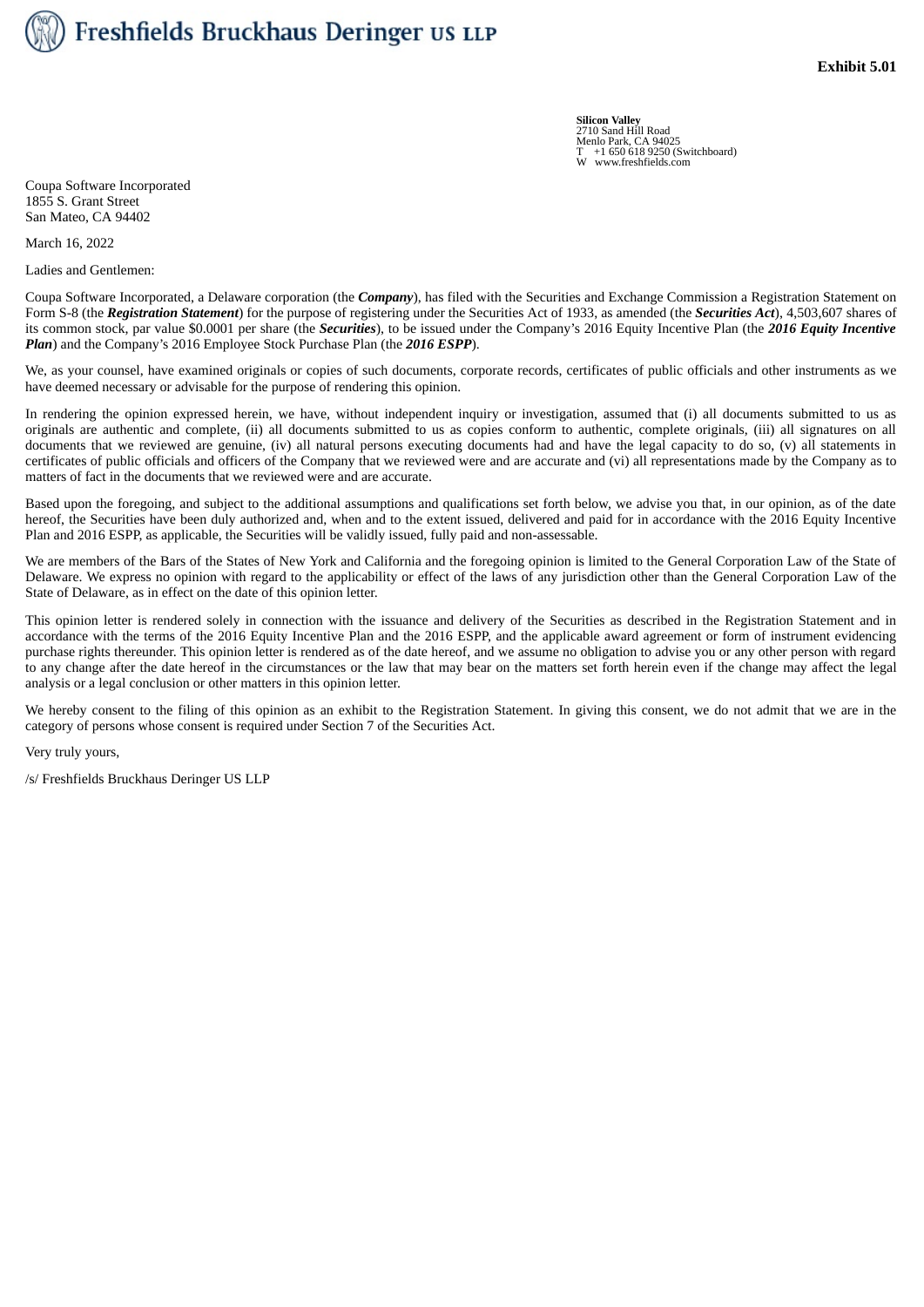<span id="page-9-0"></span>

**Silicon Valley** 2710 Sand Hill Road Menlo Park, CA 94025 T +1 650 618 9250 (Switchboard) W www.freshfields.com

Coupa Software Incorporated 1855 S. Grant Street San Mateo, CA 94402

March 16, 2022

Ladies and Gentlemen:

Coupa Software Incorporated, a Delaware corporation (the *Company*), has filed with the Securities and Exchange Commission a Registration Statement on Form S‑8 (the *Registration Statement*) for the purpose of registering under the Securities Act of 1933, as amended (the *Securities Act*), 4,503,607 shares of its common stock, par value \$0.0001 per share (the *Securities*), to be issued under the Company's 2016 Equity Incentive Plan (the *2016 Equity Incentive Plan*) and the Company's 2016 Employee Stock Purchase Plan (the *2016 ESPP*).

We, as your counsel, have examined originals or copies of such documents, corporate records, certificates of public officials and other instruments as we have deemed necessary or advisable for the purpose of rendering this opinion.

In rendering the opinion expressed herein, we have, without independent inquiry or investigation, assumed that (i) all documents submitted to us as originals are authentic and complete, (ii) all documents submitted to us as copies conform to authentic, complete originals, (iii) all signatures on all documents that we reviewed are genuine, (iv) all natural persons executing documents had and have the legal capacity to do so, (v) all statements in certificates of public officials and officers of the Company that we reviewed were and are accurate and (vi) all representations made by the Company as to matters of fact in the documents that we reviewed were and are accurate.

Based upon the foregoing, and subject to the additional assumptions and qualifications set forth below, we advise you that, in our opinion, as of the date hereof, the Securities have been duly authorized and, when and to the extent issued, delivered and paid for in accordance with the 2016 Equity Incentive Plan and 2016 ESPP, as applicable, the Securities will be validly issued, fully paid and non-assessable.

We are members of the Bars of the States of New York and California and the foregoing opinion is limited to the General Corporation Law of the State of Delaware. We express no opinion with regard to the applicability or effect of the laws of any jurisdiction other than the General Corporation Law of the State of Delaware, as in effect on the date of this opinion letter.

This opinion letter is rendered solely in connection with the issuance and delivery of the Securities as described in the Registration Statement and in accordance with the terms of the 2016 Equity Incentive Plan and the 2016 ESPP, and the applicable award agreement or form of instrument evidencing purchase rights thereunder. This opinion letter is rendered as of the date hereof, and we assume no obligation to advise you or any other person with regard to any change after the date hereof in the circumstances or the law that may bear on the matters set forth herein even if the change may affect the legal analysis or a legal conclusion or other matters in this opinion letter.

We hereby consent to the filing of this opinion as an exhibit to the Registration Statement. In giving this consent, we do not admit that we are in the category of persons whose consent is required under Section 7 of the Securities Act.

Very truly yours,

/s/ Freshfields Bruckhaus Deringer US LLP